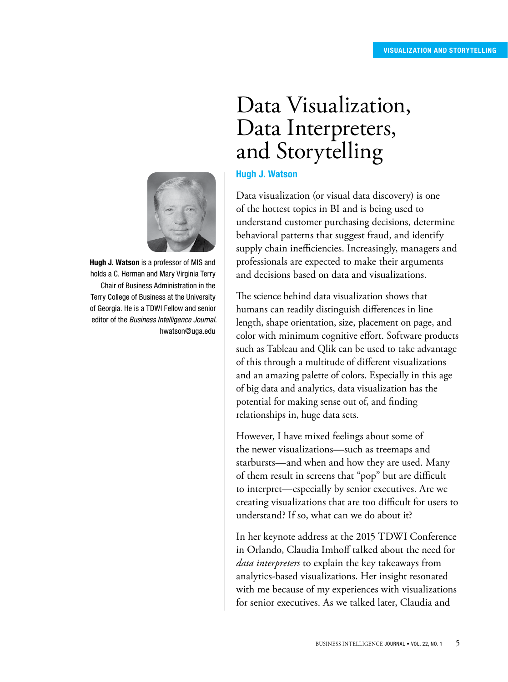# Data Interpreters, and Storytelling Hugh J. Watson

Data visualization (or visual data discovery) is one of the hottest topics in BI and is being used to understand customer purchasing decisions, determine behavioral patterns that suggest fraud, and identify supply chain inefficiencies. Increasingly, managers and professionals are expected to make their arguments and decisions based on data and visualizations.

Data Visualization,

The science behind data visualization shows that humans can readily distinguish differences in line length, shape orientation, size, placement on page, and color with minimum cognitive effort. Software products such as Tableau and Qlik can be used to take advantage of this through a multitude of different visualizations and an amazing palette of colors. Especially in this age of big data and analytics, data visualization has the potential for making sense out of, and finding relationships in, huge data sets.

However, I have mixed feelings about some of the newer visualizations—such as treemaps and starbursts—and when and how they are used. Many of them result in screens that "pop" but are difficult to interpret—especially by senior executives. Are we creating visualizations that are too difficult for users to understand? If so, what can we do about it?

In her keynote address at the 2015 TDWI Conference in Orlando, Claudia Imhoff talked about the need for *data interpreters* to explain the key takeaways from analytics-based visualizations. Her insight resonated with me because of my experiences with visualizations for senior executives. As we talked later, Claudia and



Hugh J. Watson is a professor of MIS and holds a C. Herman and Mary Virginia Terry Chair of Business Administration in the Terry College of Business at the University of Georgia. He is a TDWI Fellow and senior editor of the *Business Intelligence Journal*. [hwatson@uga.edu](mailto:hwatson@uga.edu)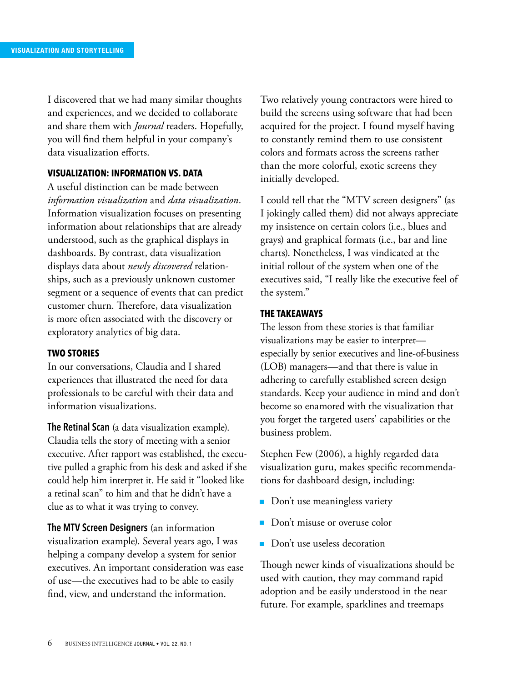I discovered that we had many similar thoughts and experiences, and we decided to collaborate and share them with *Journal* readers. Hopefully, you will find them helpful in your company's data visualization efforts.

## **VISUALIZATION: INFORMATION VS. DATA**

A useful distinction can be made between *information visualization* and *data visualization*. Information visualization focuses on presenting information about relationships that are already understood, such as the graphical displays in dashboards. By contrast, data visualization displays data about *newly discovered* relationships, such as a previously unknown customer segment or a sequence of events that can predict customer churn. Therefore, data visualization is more often associated with the discovery or exploratory analytics of big data.

## **TWO STORIES**

In our conversations, Claudia and I shared experiences that illustrated the need for data professionals to be careful with their data and information visualizations.

**The Retinal Scan** (a data visualization example). Claudia tells the story of meeting with a senior executive. After rapport was established, the executive pulled a graphic from his desk and asked if she could help him interpret it. He said it "looked like a retinal scan" to him and that he didn't have a clue as to what it was trying to convey.

**The MTV Screen Designers** (an information visualization example). Several years ago, I was helping a company develop a system for senior executives. An important consideration was ease of use—the executives had to be able to easily find, view, and understand the information.

Two relatively young contractors were hired to build the screens using software that had been acquired for the project. I found myself having to constantly remind them to use consistent colors and formats across the screens rather than the more colorful, exotic screens they initially developed.

I could tell that the "MTV screen designers" (as I jokingly called them) did not always appreciate my insistence on certain colors (i.e., blues and grays) and graphical formats (i.e., bar and line charts). Nonetheless, I was vindicated at the initial rollout of the system when one of the executives said, "I really like the executive feel of the system."

## **THE TAKEAWAYS**

The lesson from these stories is that familiar visualizations may be easier to interpret especially by senior executives and line-of-business (LOB) managers—and that there is value in adhering to carefully established screen design standards. Keep your audience in mind and don't become so enamored with the visualization that you forget the targeted users' capabilities or the business problem.

Stephen Few (2006), a highly regarded data visualization guru, makes specific recommendations for dashboard design, including:

- Don't use meaningless variety
- Don't misuse or overuse color
- Don't use useless decoration

Though newer kinds of visualizations should be used with caution, they may command rapid adoption and be easily understood in the near future. For example, sparklines and treemaps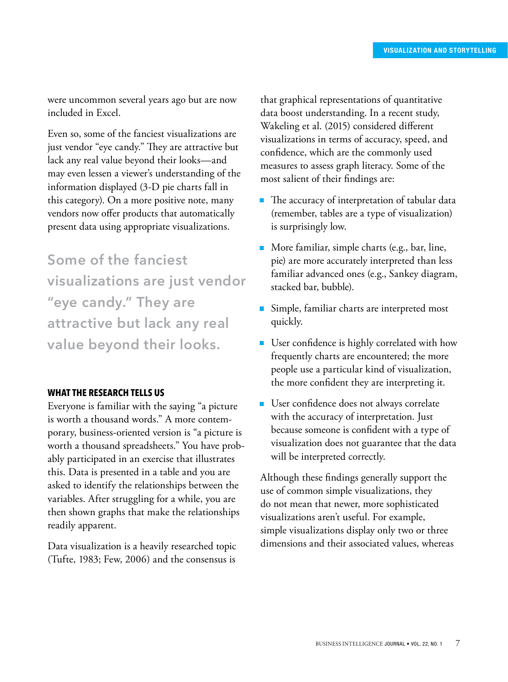were uncommon several years ago but are now included in Excel.

Even so, some of the fanciest visualizations are just vendor "eye candy." They are attractive but lack any real value beyond their looks—and may even lessen a viewer's understanding of the information displayed (3-D pie charts fall in this category). On a more positive note, many vendors now offer products that automatically present data using appropriate visualizations.

**Some of the fanciest visualizations are just vendor "eye candy." They are attractive but lack any real value beyond their looks.**

## **WHAT THE RESEARCH TELLS US**

Everyone is familiar with the saying "a picture is worth a thousand words." A more contemporary, business-oriented version is "a picture is worth a thousand spreadsheets." You have probably participated in an exercise that illustrates this. Data is presented in a table and you are asked to identify the relationships between the variables. After struggling for a while, you are then shown graphs that make the relationships readily apparent.

Data visualization is a heavily researched topic (Tufte, 1983; Few, 2006) and the consensus is

that graphical representations of quantitative data boost understanding. In a recent study, Wakeling et al. (2015) considered different visualizations in terms of accuracy, speed, and confidence, which are the commonly used measures to assess graph literacy. Some of the most salient of their findings are:

- The accuracy of interpretation of tabular data (remember, tables are a type of visualization) is surprisingly low.
- More familiar, simple charts (e.g., bar, line, pie) are more accurately interpreted than less familiar advanced ones (e.g., Sankey diagram, stacked bar, bubble).
- Simple, familiar charts are interpreted most quickly.
- User confidence is highly correlated with how frequently charts are encountered; the more people use a particular kind of visualization, the more confident they are interpreting it.
- User confidence does not always correlate with the accuracy of interpretation. Just because someone is confident with a type of visualization does not guarantee that the data will be interpreted correctly.

Although these findings generally support the use of common simple visualizations, they do not mean that newer, more sophisticated visualizations aren't useful. For example, simple visualizations display only two or three dimensions and their associated values, whereas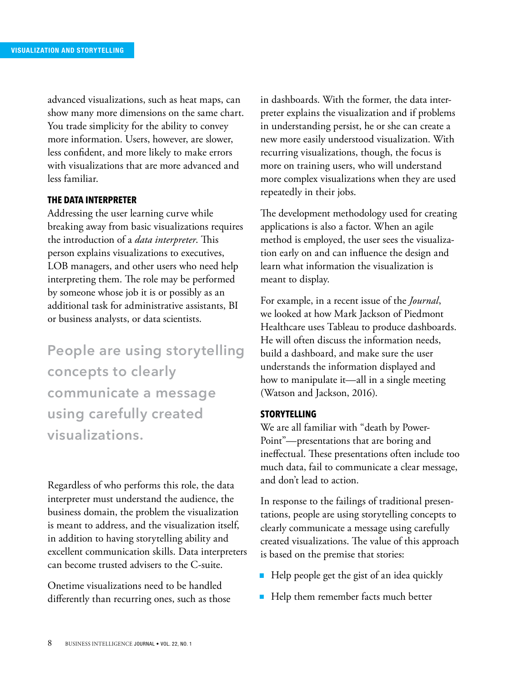advanced visualizations, such as heat maps, can show many more dimensions on the same chart. You trade simplicity for the ability to convey more information. Users, however, are slower, less confident, and more likely to make errors with visualizations that are more advanced and less familiar.

## **THE DATA INTERPRETER**

Addressing the user learning curve while breaking away from basic visualizations requires the introduction of a *data interpreter*. This person explains visualizations to executives, LOB managers, and other users who need help interpreting them. The role may be performed by someone whose job it is or possibly as an additional task for administrative assistants, BI or business analysts, or data scientists.

**People are using storytelling concepts to clearly communicate a message using carefully created visualizations.**

Regardless of who performs this role, the data interpreter must understand the audience, the business domain, the problem the visualization is meant to address, and the visualization itself, in addition to having storytelling ability and excellent communication skills. Data interpreters can become trusted advisers to the C-suite.

Onetime visualizations need to be handled differently than recurring ones, such as those in dashboards. With the former, the data interpreter explains the visualization and if problems in understanding persist, he or she can create a new more easily understood visualization. With recurring visualizations, though, the focus is more on training users, who will understand more complex visualizations when they are used repeatedly in their jobs.

The development methodology used for creating applications is also a factor. When an agile method is employed, the user sees the visualization early on and can influence the design and learn what information the visualization is meant to display.

For example, in a recent issue of the *Journal*, we looked at how Mark Jackson of Piedmont Healthcare uses Tableau to produce dashboards. He will often discuss the information needs, build a dashboard, and make sure the user understands the information displayed and how to manipulate it—all in a single meeting (Watson and Jackson, 2016).

## **STORYTELLING**

We are all familiar with "death by Power-Point"—presentations that are boring and ineffectual. These presentations often include too much data, fail to communicate a clear message, and don't lead to action.

In response to the failings of traditional presentations, people are using storytelling concepts to clearly communicate a message using carefully created visualizations. The value of this approach is based on the premise that stories:

- Help people get the gist of an idea quickly
- Help them remember facts much better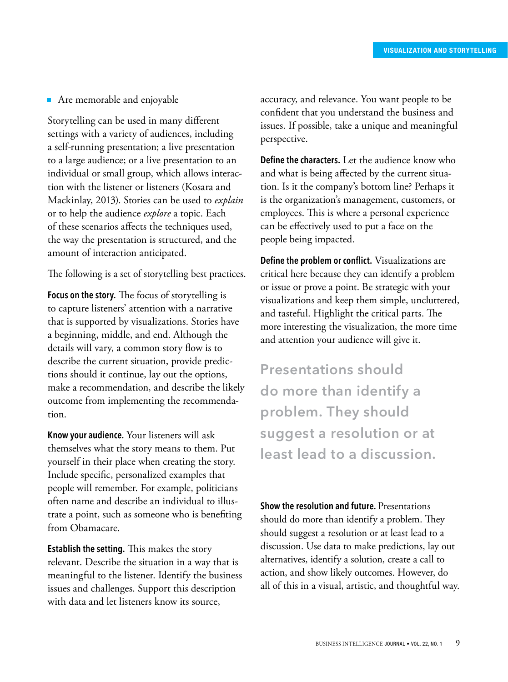## ■ Are memorable and enjoyable

Storytelling can be used in many different settings with a variety of audiences, including a self-running presentation; a live presentation to a large audience; or a live presentation to an individual or small group, which allows interaction with the listener or listeners (Kosara and Mackinlay, 2013). Stories can be used to *explain* or to help the audience *explore* a topic. Each of these scenarios affects the techniques used, the way the presentation is structured, and the amount of interaction anticipated.

The following is a set of storytelling best practices.

**Focus on the story.** The focus of storytelling is to capture listeners' attention with a narrative that is supported by visualizations. Stories have a beginning, middle, and end. Although the details will vary, a common story flow is to describe the current situation, provide predictions should it continue, lay out the options, make a recommendation, and describe the likely outcome from implementing the recommendation.

**Know your audience.** Your listeners will ask themselves what the story means to them. Put yourself in their place when creating the story. Include specific, personalized examples that people will remember. For example, politicians often name and describe an individual to illustrate a point, such as someone who is benefiting from Obamacare.

**Establish the setting.** This makes the story relevant. Describe the situation in a way that is meaningful to the listener. Identify the business issues and challenges. Support this description with data and let listeners know its source,

accuracy, and relevance. You want people to be confident that you understand the business and issues. If possible, take a unique and meaningful perspective.

**Define the characters.** Let the audience know who and what is being affected by the current situation. Is it the company's bottom line? Perhaps it is the organization's management, customers, or employees. This is where a personal experience can be effectively used to put a face on the people being impacted.

**Define the problem or conflict.** Visualizations are critical here because they can identify a problem or issue or prove a point. Be strategic with your visualizations and keep them simple, uncluttered, and tasteful. Highlight the critical parts. The more interesting the visualization, the more time and attention your audience will give it.

**Presentations should do more than identify a problem. They should suggest a resolution or at least lead to a discussion.**

**Show the resolution and future.** Presentations should do more than identify a problem. They should suggest a resolution or at least lead to a discussion. Use data to make predictions, lay out alternatives, identify a solution, create a call to action, and show likely outcomes. However, do all of this in a visual, artistic, and thoughtful way.